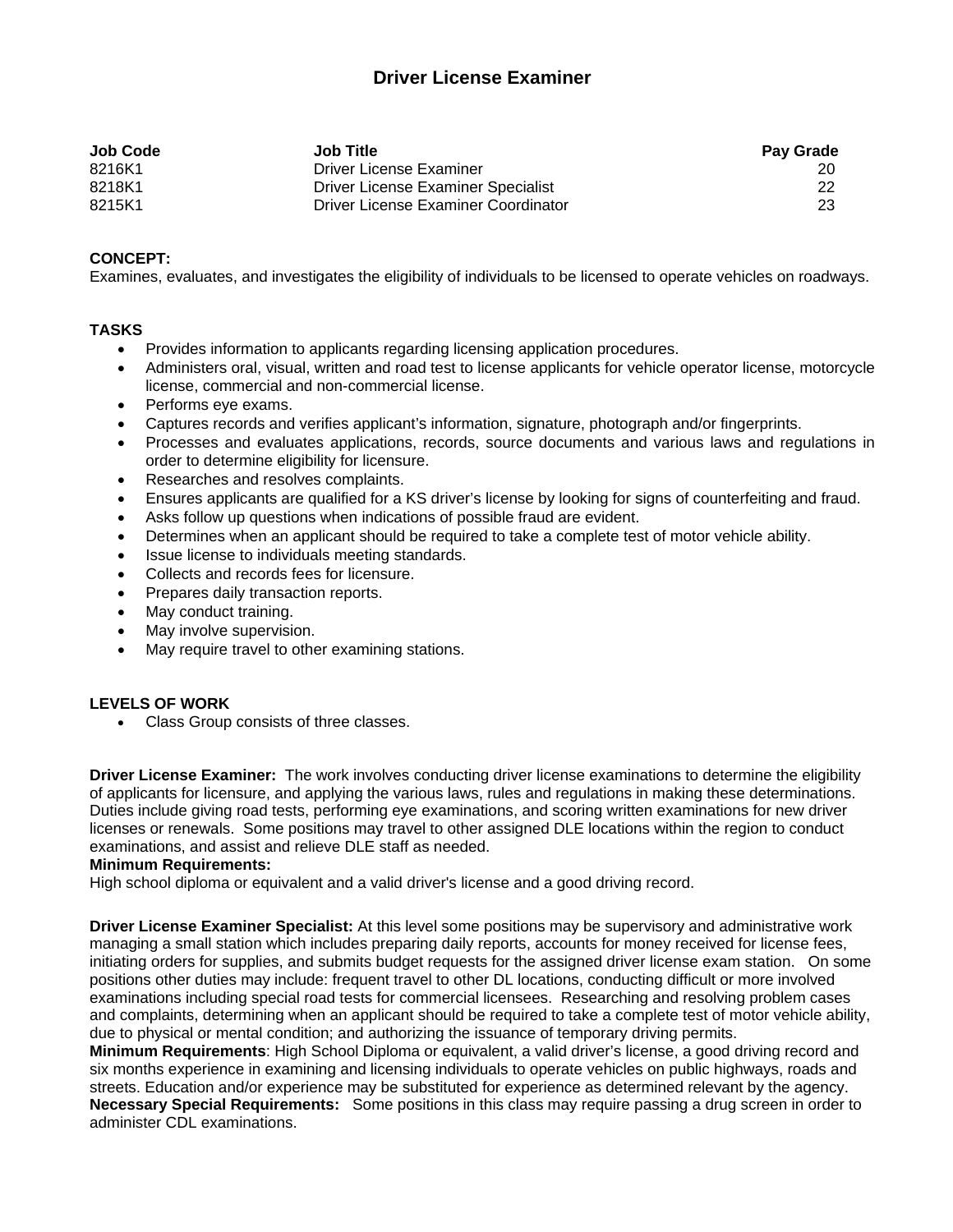# **Driver License Examiner**

| Job Code | <b>Job Title</b>                    | <b>Pay Grade</b> |
|----------|-------------------------------------|------------------|
| 8216K1   | Driver License Examiner             | 20               |
| 8218K1   | Driver License Examiner Specialist  | 22               |
| 8215K1   | Driver License Examiner Coordinator | 23               |

## **CONCEPT:**

Examines, evaluates, and investigates the eligibility of individuals to be licensed to operate vehicles on roadways.

### **TASKS**

- Provides information to applicants regarding licensing application procedures.
- Administers oral, visual, written and road test to license applicants for vehicle operator license, motorcycle license, commercial and non-commercial license.
- Performs eye exams.
- Captures records and verifies applicant's information, signature, photograph and/or fingerprints.
- Processes and evaluates applications, records, source documents and various laws and regulations in order to determine eligibility for licensure.
- Researches and resolves complaints.
- Ensures applicants are qualified for a KS driver's license by looking for signs of counterfeiting and fraud.
- Asks follow up questions when indications of possible fraud are evident.
- Determines when an applicant should be required to take a complete test of motor vehicle ability.
- Issue license to individuals meeting standards.
- Collects and records fees for licensure.
- Prepares daily transaction reports.
- May conduct training.
- May involve supervision.
- May require travel to other examining stations.

## **LEVELS OF WORK**

Class Group consists of three classes.

**Driver License Examiner:** The work involves conducting driver license examinations to determine the eligibility of applicants for licensure, and applying the various laws, rules and regulations in making these determinations. Duties include giving road tests, performing eye examinations, and scoring written examinations for new driver licenses or renewals. Some positions may travel to other assigned DLE locations within the region to conduct examinations, and assist and relieve DLE staff as needed.

#### **Minimum Requirements:**

High school diploma or equivalent and a valid driver's license and a good driving record.

**Driver License Examiner Specialist:** At this level some positions may be supervisory and administrative work managing a small station which includes preparing daily reports, accounts for money received for license fees, initiating orders for supplies, and submits budget requests for the assigned driver license exam station. On some positions other duties may include: frequent travel to other DL locations, conducting difficult or more involved examinations including special road tests for commercial licensees. Researching and resolving problem cases and complaints, determining when an applicant should be required to take a complete test of motor vehicle ability, due to physical or mental condition; and authorizing the issuance of temporary driving permits.

**Minimum Requirements**: High School Diploma or equivalent, a valid driver's license, a good driving record and six months experience in examining and licensing individuals to operate vehicles on public highways, roads and streets. Education and/or experience may be substituted for experience as determined relevant by the agency. **Necessary Special Requirements:** Some positions in this class may require passing a drug screen in order to administer CDL examinations.